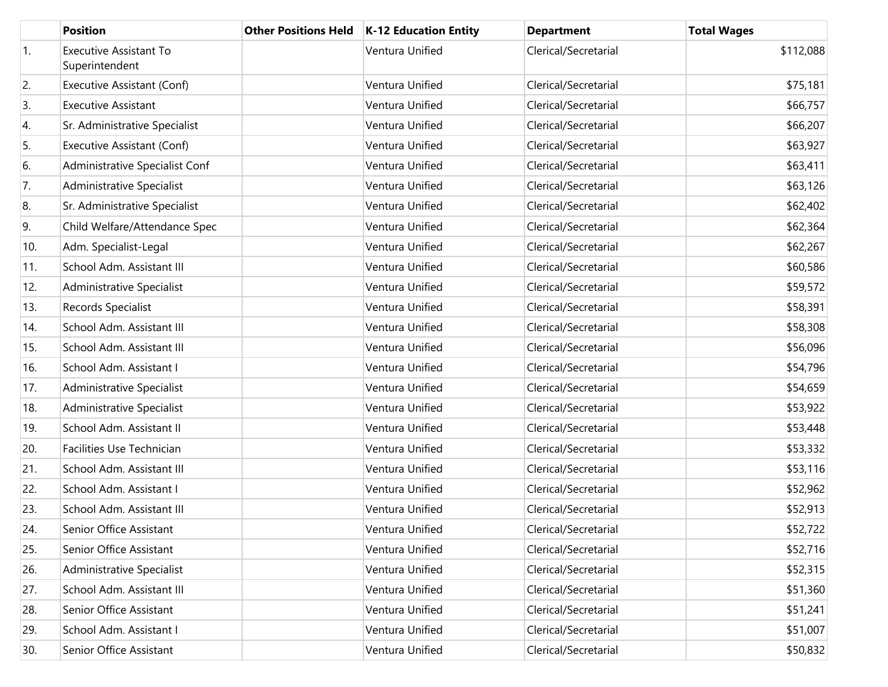|     | <b>Position</b>                                 | <b>Other Positions Held</b> | <b>K-12 Education Entity</b> | <b>Department</b>    | <b>Total Wages</b> |
|-----|-------------------------------------------------|-----------------------------|------------------------------|----------------------|--------------------|
| 1.  | <b>Executive Assistant To</b><br>Superintendent |                             | Ventura Unified              | Clerical/Secretarial | \$112,088          |
| 2.  | Executive Assistant (Conf)                      |                             | Ventura Unified              | Clerical/Secretarial | \$75,181           |
| 3.  | <b>Executive Assistant</b>                      |                             | Ventura Unified              | Clerical/Secretarial | \$66,757           |
| 4.  | Sr. Administrative Specialist                   |                             | Ventura Unified              | Clerical/Secretarial | \$66,207           |
| 5.  | Executive Assistant (Conf)                      |                             | Ventura Unified              | Clerical/Secretarial | \$63,927           |
| 6.  | Administrative Specialist Conf                  |                             | Ventura Unified              | Clerical/Secretarial | \$63,411           |
| 7.  | Administrative Specialist                       |                             | Ventura Unified              | Clerical/Secretarial | \$63,126           |
| 8.  | Sr. Administrative Specialist                   |                             | Ventura Unified              | Clerical/Secretarial | \$62,402           |
| 9.  | Child Welfare/Attendance Spec                   |                             | Ventura Unified              | Clerical/Secretarial | \$62,364           |
| 10. | Adm. Specialist-Legal                           |                             | Ventura Unified              | Clerical/Secretarial | \$62,267           |
| 11. | School Adm. Assistant III                       |                             | Ventura Unified              | Clerical/Secretarial | \$60,586           |
| 12. | Administrative Specialist                       |                             | Ventura Unified              | Clerical/Secretarial | \$59,572           |
| 13. | Records Specialist                              |                             | Ventura Unified              | Clerical/Secretarial | \$58,391           |
| 14. | School Adm. Assistant III                       |                             | Ventura Unified              | Clerical/Secretarial | \$58,308           |
| 15. | School Adm. Assistant III                       |                             | Ventura Unified              | Clerical/Secretarial | \$56,096           |
| 16. | School Adm. Assistant I                         |                             | Ventura Unified              | Clerical/Secretarial | \$54,796           |
| 17. | Administrative Specialist                       |                             | Ventura Unified              | Clerical/Secretarial | \$54,659           |
| 18. | Administrative Specialist                       |                             | Ventura Unified              | Clerical/Secretarial | \$53,922           |
| 19. | School Adm. Assistant II                        |                             | Ventura Unified              | Clerical/Secretarial | \$53,448           |
| 20. | Facilities Use Technician                       |                             | Ventura Unified              | Clerical/Secretarial | \$53,332           |
| 21. | School Adm. Assistant III                       |                             | Ventura Unified              | Clerical/Secretarial | \$53,116           |
| 22. | School Adm. Assistant I                         |                             | Ventura Unified              | Clerical/Secretarial | \$52,962           |
| 23. | School Adm. Assistant III                       |                             | Ventura Unified              | Clerical/Secretarial | \$52,913           |
| 24. | Senior Office Assistant                         |                             | Ventura Unified              | Clerical/Secretarial | \$52,722           |
| 25. | Senior Office Assistant                         |                             | Ventura Unified              | Clerical/Secretarial | \$52,716           |
| 26. | Administrative Specialist                       |                             | Ventura Unified              | Clerical/Secretarial | \$52,315           |
| 27. | School Adm. Assistant III                       |                             | Ventura Unified              | Clerical/Secretarial | \$51,360           |
| 28. | Senior Office Assistant                         |                             | Ventura Unified              | Clerical/Secretarial | \$51,241           |
| 29. | School Adm. Assistant I                         |                             | Ventura Unified              | Clerical/Secretarial | \$51,007           |
| 30. | Senior Office Assistant                         |                             | Ventura Unified              | Clerical/Secretarial | \$50,832           |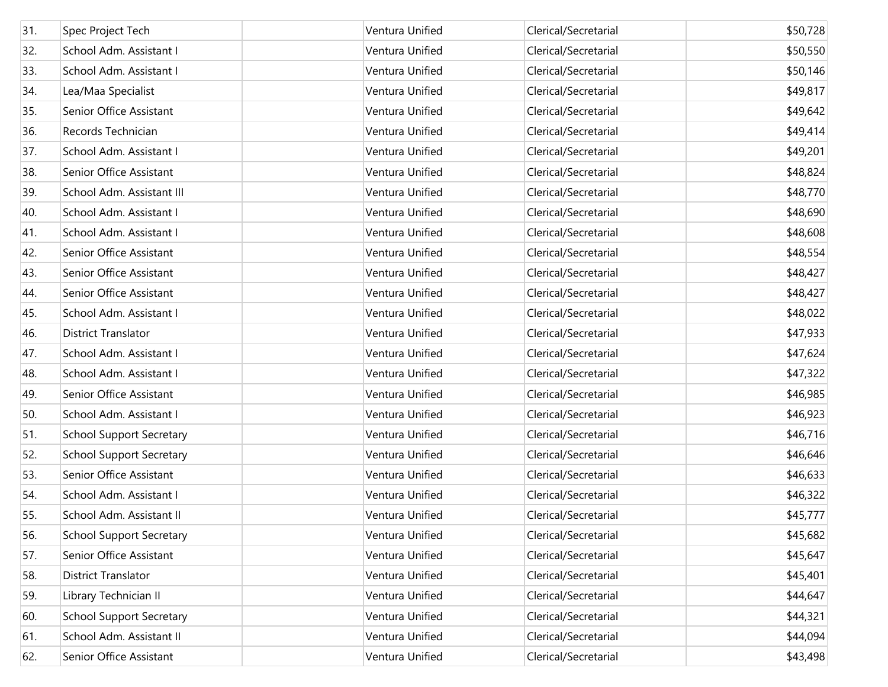| 31. | Spec Project Tech               | Ventura Unified | Clerical/Secretarial | \$50,728 |
|-----|---------------------------------|-----------------|----------------------|----------|
| 32. | School Adm. Assistant I         | Ventura Unified | Clerical/Secretarial | \$50,550 |
| 33. | School Adm. Assistant I         | Ventura Unified | Clerical/Secretarial | \$50,146 |
| 34. | Lea/Maa Specialist              | Ventura Unified | Clerical/Secretarial | \$49,817 |
| 35. | Senior Office Assistant         | Ventura Unified | Clerical/Secretarial | \$49,642 |
| 36. | Records Technician              | Ventura Unified | Clerical/Secretarial | \$49,414 |
| 37. | School Adm. Assistant I         | Ventura Unified | Clerical/Secretarial | \$49,201 |
| 38. | Senior Office Assistant         | Ventura Unified | Clerical/Secretarial | \$48,824 |
| 39. | School Adm. Assistant III       | Ventura Unified | Clerical/Secretarial | \$48,770 |
| 40. | School Adm. Assistant I         | Ventura Unified | Clerical/Secretarial | \$48,690 |
| 41. | School Adm. Assistant I         | Ventura Unified | Clerical/Secretarial | \$48,608 |
| 42. | Senior Office Assistant         | Ventura Unified | Clerical/Secretarial | \$48,554 |
| 43. | Senior Office Assistant         | Ventura Unified | Clerical/Secretarial | \$48,427 |
| 44. | Senior Office Assistant         | Ventura Unified | Clerical/Secretarial | \$48,427 |
| 45. | School Adm. Assistant I         | Ventura Unified | Clerical/Secretarial | \$48,022 |
| 46. | <b>District Translator</b>      | Ventura Unified | Clerical/Secretarial | \$47,933 |
| 47. | School Adm. Assistant I         | Ventura Unified | Clerical/Secretarial | \$47,624 |
| 48. | School Adm. Assistant I         | Ventura Unified | Clerical/Secretarial | \$47,322 |
| 49. | Senior Office Assistant         | Ventura Unified | Clerical/Secretarial | \$46,985 |
| 50. | School Adm. Assistant I         | Ventura Unified | Clerical/Secretarial | \$46,923 |
| 51. | <b>School Support Secretary</b> | Ventura Unified | Clerical/Secretarial | \$46,716 |
| 52. | <b>School Support Secretary</b> | Ventura Unified | Clerical/Secretarial | \$46,646 |
| 53. | Senior Office Assistant         | Ventura Unified | Clerical/Secretarial | \$46,633 |
| 54. | School Adm. Assistant I         | Ventura Unified | Clerical/Secretarial | \$46,322 |
| 55. | School Adm. Assistant II        | Ventura Unified | Clerical/Secretarial | \$45,777 |
| 56. | <b>School Support Secretary</b> | Ventura Unified | Clerical/Secretarial | \$45,682 |
| 57. | Senior Office Assistant         | Ventura Unified | Clerical/Secretarial | \$45,647 |
| 58. | <b>District Translator</b>      | Ventura Unified | Clerical/Secretarial | \$45,401 |
| 59. | Library Technician II           | Ventura Unified | Clerical/Secretarial | \$44,647 |
| 60. | <b>School Support Secretary</b> | Ventura Unified | Clerical/Secretarial | \$44,321 |
| 61. | School Adm. Assistant II        | Ventura Unified | Clerical/Secretarial | \$44,094 |
| 62. | Senior Office Assistant         | Ventura Unified | Clerical/Secretarial | \$43,498 |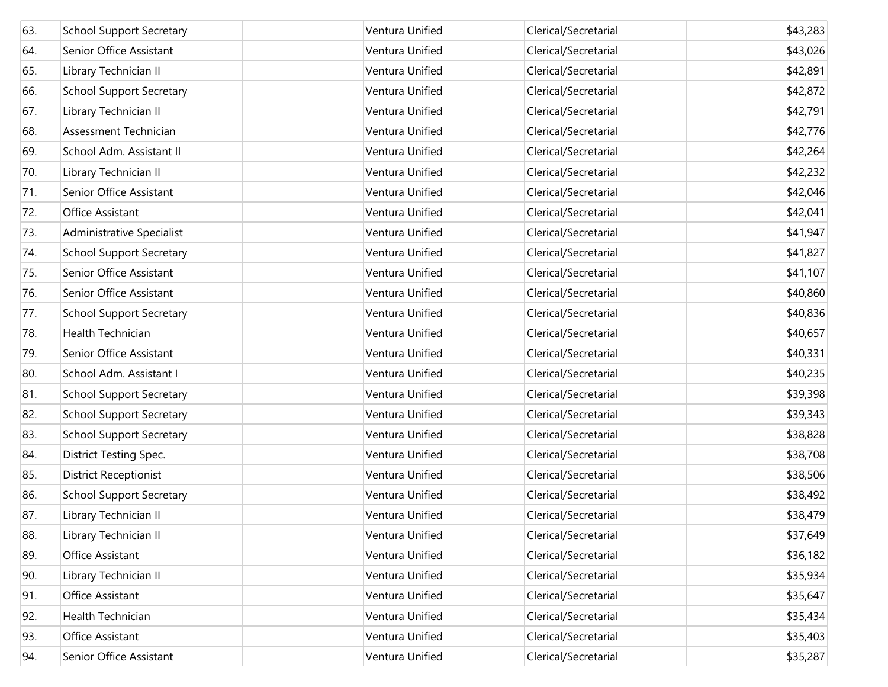| 63. | <b>School Support Secretary</b> | Ventura Unified | Clerical/Secretarial | \$43,283 |
|-----|---------------------------------|-----------------|----------------------|----------|
| 64. | Senior Office Assistant         | Ventura Unified | Clerical/Secretarial | \$43,026 |
| 65. | Library Technician II           | Ventura Unified | Clerical/Secretarial | \$42,891 |
| 66. | <b>School Support Secretary</b> | Ventura Unified | Clerical/Secretarial | \$42,872 |
| 67. | Library Technician II           | Ventura Unified | Clerical/Secretarial | \$42,791 |
| 68. | Assessment Technician           | Ventura Unified | Clerical/Secretarial | \$42,776 |
| 69. | School Adm. Assistant II        | Ventura Unified | Clerical/Secretarial | \$42,264 |
| 70. | Library Technician II           | Ventura Unified | Clerical/Secretarial | \$42,232 |
| 71. | Senior Office Assistant         | Ventura Unified | Clerical/Secretarial | \$42,046 |
| 72. | Office Assistant                | Ventura Unified | Clerical/Secretarial | \$42,041 |
| 73. | Administrative Specialist       | Ventura Unified | Clerical/Secretarial | \$41,947 |
| 74. | <b>School Support Secretary</b> | Ventura Unified | Clerical/Secretarial | \$41,827 |
| 75. | Senior Office Assistant         | Ventura Unified | Clerical/Secretarial | \$41,107 |
| 76. | Senior Office Assistant         | Ventura Unified | Clerical/Secretarial | \$40,860 |
| 77. | <b>School Support Secretary</b> | Ventura Unified | Clerical/Secretarial | \$40,836 |
| 78. | Health Technician               | Ventura Unified | Clerical/Secretarial | \$40,657 |
| 79. | Senior Office Assistant         | Ventura Unified | Clerical/Secretarial | \$40,331 |
| 80. | School Adm. Assistant I         | Ventura Unified | Clerical/Secretarial | \$40,235 |
| 81. | <b>School Support Secretary</b> | Ventura Unified | Clerical/Secretarial | \$39,398 |
| 82. | <b>School Support Secretary</b> | Ventura Unified | Clerical/Secretarial | \$39,343 |
| 83. | <b>School Support Secretary</b> | Ventura Unified | Clerical/Secretarial | \$38,828 |
| 84. | <b>District Testing Spec.</b>   | Ventura Unified | Clerical/Secretarial | \$38,708 |
| 85. | <b>District Receptionist</b>    | Ventura Unified | Clerical/Secretarial | \$38,506 |
| 86. | <b>School Support Secretary</b> | Ventura Unified | Clerical/Secretarial | \$38,492 |
| 87. | Library Technician II           | Ventura Unified | Clerical/Secretarial | \$38,479 |
| 88. | Library Technician II           | Ventura Unified | Clerical/Secretarial | \$37,649 |
| 89. | Office Assistant                | Ventura Unified | Clerical/Secretarial | \$36,182 |
| 90. | Library Technician II           | Ventura Unified | Clerical/Secretarial | \$35,934 |
| 91. | Office Assistant                | Ventura Unified | Clerical/Secretarial | \$35,647 |
| 92. | Health Technician               | Ventura Unified | Clerical/Secretarial | \$35,434 |
| 93. | Office Assistant                | Ventura Unified | Clerical/Secretarial | \$35,403 |
| 94. | Senior Office Assistant         | Ventura Unified | Clerical/Secretarial | \$35,287 |